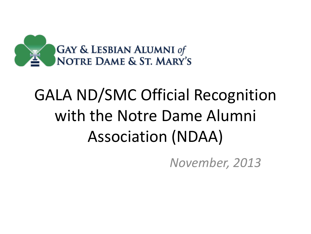

### GALA ND/SMC Official Recognition with the Notre Dame Alumni Association (NDAA)

*November, 2013*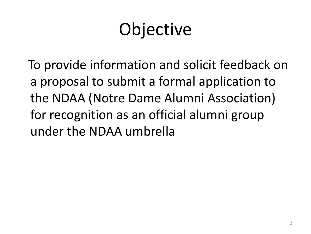# **Objective**

 To provide information and solicit feedback on a proposal to submit a formal application to the NDAA (Notre Dame Alumni Association) for recognition as an official alumni group under the NDAA umbrella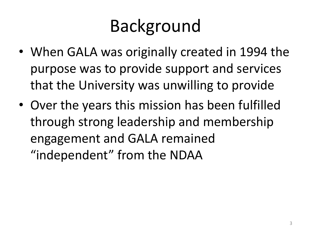### Background

- When GALA was originally created in 1994 the purpose was to provide support and services that the University was unwilling to provide
- Over the years this mission has been fulfilled through strong leadership and membership engagement and GALA remained "independent" from the NDAA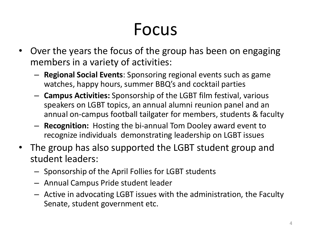#### Focus

- Over the years the focus of the group has been on engaging members in a variety of activities:
	- **Regional Social Events**: Sponsoring regional events such as game watches, happy hours, summer BBQ's and cocktail parties
	- **Campus Activities:** Sponsorship of the LGBT film festival, various speakers on LGBT topics, an annual alumni reunion panel and an annual on-campus football tailgater for members, students & faculty
	- **Recognition:** Hosting the bi-annual Tom Dooley award event to recognize individuals demonstrating leadership on LGBT issues
- The group has also supported the LGBT student group and student leaders:
	- Sponsorship of the April Follies for LGBT students
	- Annual Campus Pride student leader
	- Active in advocating LGBT issues with the administration, the Faculty Senate, student government etc.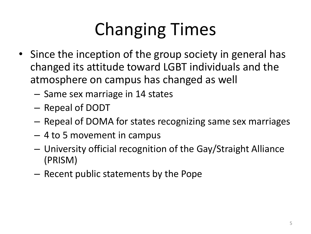# Changing Times

- Since the inception of the group society in general has changed its attitude toward LGBT individuals and the atmosphere on campus has changed as well
	- Same sex marriage in 14 states
	- Repeal of DODT
	- Repeal of DOMA for states recognizing same sex marriages
	- 4 to 5 movement in campus
	- University official recognition of the Gay/Straight Alliance (PRISM)
	- Recent public statements by the Pope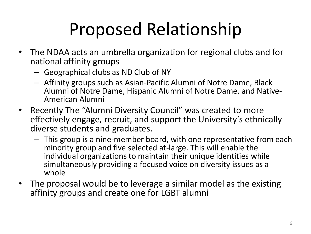# Proposed Relationship

- The NDAA acts an umbrella organization for regional clubs and for national affinity groups
	- Geographical clubs as ND Club of NY
	- Affinity groups such as Asian-Pacific Alumni of Notre Dame, Black Alumni of Notre Dame, Hispanic Alumni of Notre Dame, and Native-American Alumni
- Recently The "Alumni Diversity Council" was created to more effectively engage, recruit, and support the University's ethnically diverse students and graduates.
	- This group is a nine-member board, with one representative from each minority group and five selected at-large. This will enable the individual organizations to maintain their unique identities while simultaneously providing a focused voice on diversity issues as a whole
- The proposal would be to leverage a similar model as the existing affinity groups and create one for LGBT alumni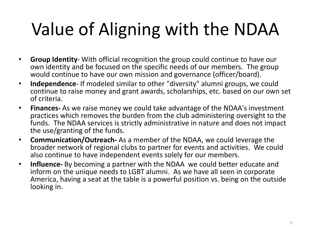# Value of Aligning with the NDAA

- **Group Identity** With official recognition the group could continue to have our own identity and be focused on the specific needs of our members. The group would continue to have our own mission and governance (officer/board).
- **Independence** If modeled similar to other "diversity" alumni groups, we could continue to raise money and grant awards, scholarships, etc. based on our own set of criteria.
- **Finances-** As we raise money we could take advantage of the NDAA's investment practices which removes the burden from the club administering oversight to the funds. The NDAA services is strictly administrative in nature and does not impact the use/granting of the funds.
- **Communication/Outreach-** As a member of the NDAA, we could leverage the broader network of regional clubs to partner for events and activities. We could also continue to have independent events solely for our members.
- **Influence-** By becoming a partner with the NDAA we could better educate and inform on the unique needs to LGBT alumni. As we have all seen in corporate America, having a seat at the table is a powerful position vs. being on the outside looking in.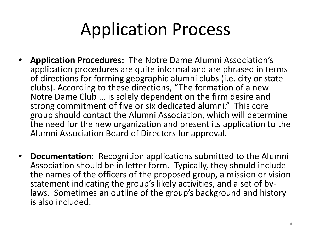#### Application Process

- **Application Procedures:** The Notre Dame Alumni Association's application procedures are quite informal and are phrased in terms of directions for forming geographic alumni clubs (i.e. city or state clubs). According to these directions, "The formation of a new Notre Dame Club ... is solely dependent on the firm desire and strong commitment of five or six dedicated alumni." This core group should contact the Alumni Association, which will determine the need for the new organization and present its application to the Alumni Association Board of Directors for approval.
- **Documentation:** Recognition applications submitted to the Alumni Association should be in letter form. Typically, they should include the names of the officers of the proposed group, a mission or vision statement indicating the group's likely activities, and a set of bylaws. Sometimes an outline of the group's background and history is also included.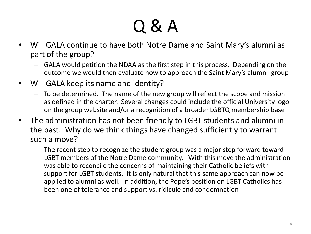# Q & A

- Will GALA continue to have both Notre Dame and Saint Mary's alumni as part of the group?
	- GALA would petition the NDAA as the first step in this process. Depending on the outcome we would then evaluate how to approach the Saint Mary's alumni group
- Will GALA keep its name and identity?
	- To be determined. The name of the new group will reflect the scope and mission as defined in the charter. Several changes could include the official University logo on the group website and/or a recognition of a broader LGBTQ membership base
- The administration has not been friendly to LGBT students and alumni in the past. Why do we think things have changed sufficiently to warrant such a move?
	- The recent step to recognize the student group was a major step forward toward LGBT members of the Notre Dame community. With this move the administration was able to reconcile the concerns of maintaining their Catholic beliefs with support for LGBT students. It is only natural that this same approach can now be applied to alumni as well. In addition, the Pope's position on LGBT Catholics has been one of tolerance and support vs. ridicule and condemnation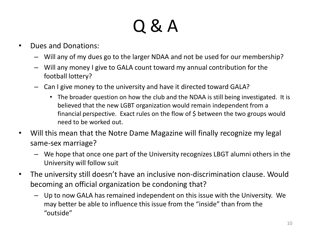# Q & A

- Dues and Donations:
	- Will any of my dues go to the larger NDAA and not be used for our membership?
	- Will any money I give to GALA count toward my annual contribution for the football lottery?
	- Can I give money to the university and have it directed toward GALA?
		- The broader question on how the club and the NDAA is still being investigated. It is believed that the new LGBT organization would remain independent from a financial perspective. Exact rules on the flow of  $\frac{1}{2}$  between the two groups would need to be worked out.
- Will this mean that the Notre Dame Magazine will finally recognize my legal same-sex marriage?
	- We hope that once one part of the University recognizes LBGT alumni others in the University will follow suit
- The university still doesn't have an inclusive non-discrimination clause. Would becoming an official organization be condoning that?
	- Up to now GALA has remained independent on this issue with the University. We may better be able to influence this issue from the "inside" than from the "outside"